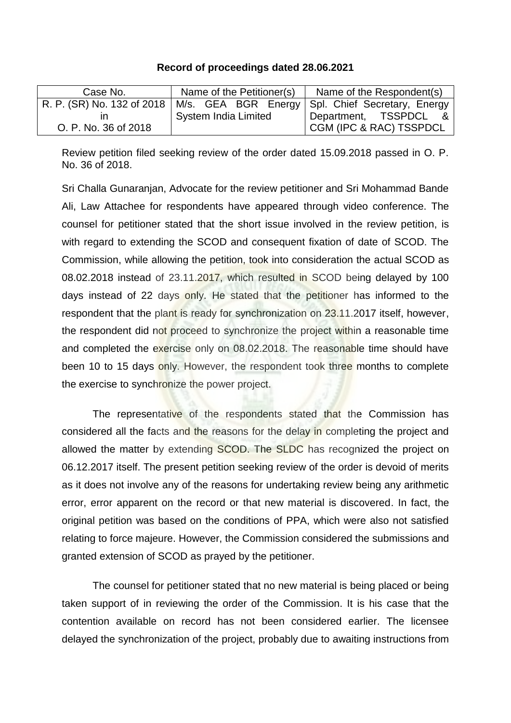## **Record of proceedings dated 28.06.2021**

| Case No.             | Name of the Petitioner(s)   | Name of the Respondent(s)                                                       |
|----------------------|-----------------------------|---------------------------------------------------------------------------------|
|                      |                             | R. P. (SR) No. 132 of 2018   M/s. GEA BGR Energy   Spl. Chief Secretary, Energy |
|                      | <b>System India Limited</b> | Department, TSSPDCL &                                                           |
| O. P. No. 36 of 2018 |                             | <b>CGM (IPC &amp; RAC) TSSPDCL</b>                                              |

Review petition filed seeking review of the order dated 15.09.2018 passed in O. P. No. 36 of 2018.

Sri Challa Gunaranjan, Advocate for the review petitioner and Sri Mohammad Bande Ali, Law Attachee for respondents have appeared through video conference. The counsel for petitioner stated that the short issue involved in the review petition, is with regard to extending the SCOD and consequent fixation of date of SCOD. The Commission, while allowing the petition, took into consideration the actual SCOD as 08.02.2018 instead of 23.11.2017, which resulted in SCOD being delayed by 100 days instead of 22 days only. He stated that the petitioner has informed to the respondent that the plant is ready for synchronization on 23.11.2017 itself, however, the respondent did not proceed to synchronize the project within a reasonable time and completed the exercise only on 08.02.2018. The reasonable time should have been 10 to 15 days only. However, the respondent took three months to complete the exercise to synchronize the power project.

The representative of the respondents stated that the Commission has considered all the facts and the reasons for the delay in completing the project and allowed the matter by extending SCOD. The SLDC has recognized the project on 06.12.2017 itself. The present petition seeking review of the order is devoid of merits as it does not involve any of the reasons for undertaking review being any arithmetic error, error apparent on the record or that new material is discovered. In fact, the original petition was based on the conditions of PPA, which were also not satisfied relating to force majeure. However, the Commission considered the submissions and granted extension of SCOD as prayed by the petitioner.

The counsel for petitioner stated that no new material is being placed or being taken support of in reviewing the order of the Commission. It is his case that the contention available on record has not been considered earlier. The licensee delayed the synchronization of the project, probably due to awaiting instructions from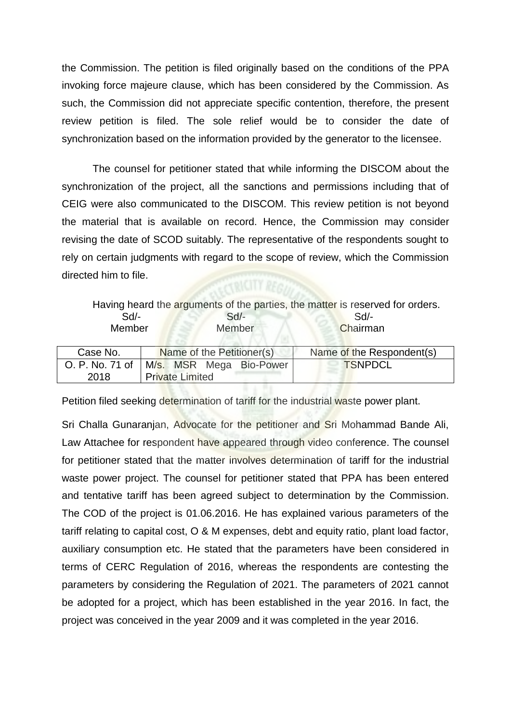the Commission. The petition is filed originally based on the conditions of the PPA invoking force majeure clause, which has been considered by the Commission. As such, the Commission did not appreciate specific contention, therefore, the present review petition is filed. The sole relief would be to consider the date of synchronization based on the information provided by the generator to the licensee.

The counsel for petitioner stated that while informing the DISCOM about the synchronization of the project, all the sanctions and permissions including that of CEIG were also communicated to the DISCOM. This review petition is not beyond the material that is available on record. Hence, the Commission may consider revising the date of SCOD suitably. The representative of the respondents sought to rely on certain judgments with regard to the scope of review, which the Commission directed him to file. CONCITY REGIMENT

|                 | Having heard the arguments of the parties, the matter is reserved for orders. |                           |
|-----------------|-------------------------------------------------------------------------------|---------------------------|
| $Sd$ -          | $Sd$ -                                                                        | Sd                        |
| Member          | Member                                                                        | Chairman                  |
|                 |                                                                               |                           |
| Case No.        | Name of the Petitioner(s)                                                     | Name of the Respondent(s) |
| O. P. No. 71 of | M/s. MSR Mega Bio-Power                                                       | <b>TSNPDCL</b>            |
| 2018            | <b>Private Limited</b>                                                        |                           |

Petition filed seeking determination of tariff for the industrial waste power plant.

Sri Challa Gunaranjan, Advocate for the petitioner and Sri Mohammad Bande Ali, Law Attachee for respondent have appeared through video conference. The counsel for petitioner stated that the matter involves determination of tariff for the industrial waste power project. The counsel for petitioner stated that PPA has been entered and tentative tariff has been agreed subject to determination by the Commission. The COD of the project is 01.06.2016. He has explained various parameters of the tariff relating to capital cost, O & M expenses, debt and equity ratio, plant load factor, auxiliary consumption etc. He stated that the parameters have been considered in terms of CERC Regulation of 2016, whereas the respondents are contesting the parameters by considering the Regulation of 2021. The parameters of 2021 cannot be adopted for a project, which has been established in the year 2016. In fact, the project was conceived in the year 2009 and it was completed in the year 2016.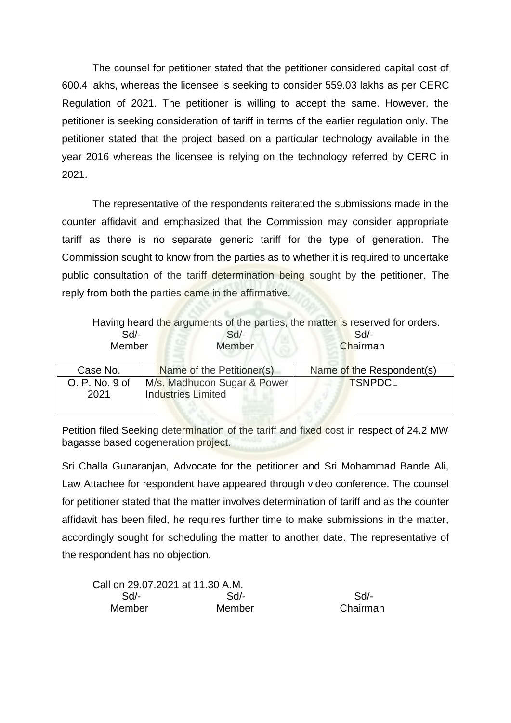The counsel for petitioner stated that the petitioner considered capital cost of 600.4 lakhs, whereas the licensee is seeking to consider 559.03 lakhs as per CERC Regulation of 2021. The petitioner is willing to accept the same. However, the petitioner is seeking consideration of tariff in terms of the earlier regulation only. The petitioner stated that the project based on a particular technology available in the year 2016 whereas the licensee is relying on the technology referred by CERC in 2021.

The representative of the respondents reiterated the submissions made in the counter affidavit and emphasized that the Commission may consider appropriate tariff as there is no separate generic tariff for the type of generation. The Commission sought to know from the parties as to whether it is required to undertake public consultation of the tariff determination being sought by the petitioner. The reply from both the parties came in the affirmative.

|                | Having heard the arguments of the parties, the matter is reserved for orders. |                           |  |
|----------------|-------------------------------------------------------------------------------|---------------------------|--|
| $Sd$ -         | $Sd$ -                                                                        | Sd                        |  |
| Member         | Member                                                                        | Chairman                  |  |
|                |                                                                               |                           |  |
| Case No.       | Name of the Petitioner(s)                                                     | Name of the Respondent(s) |  |
| O. P. No. 9 of | M/s. Madhucon Sugar & Power                                                   | <b>TSNPDCL</b>            |  |
| 2021           | <b>Industries Limited</b>                                                     |                           |  |
|                |                                                                               |                           |  |

Petition filed Seeking determination of the tariff and fixed cost in respect of 24.2 MW bagasse based cogeneration project.

Sri Challa Gunaranjan, Advocate for the petitioner and Sri Mohammad Bande Ali, Law Attachee for respondent have appeared through video conference. The counsel for petitioner stated that the matter involves determination of tariff and as the counter affidavit has been filed, he requires further time to make submissions in the matter, accordingly sought for scheduling the matter to another date. The representative of the respondent has no objection.

| Call on 29.07.2021 at 11.30 A.M. |        |          |
|----------------------------------|--------|----------|
| Sd/-                             | $Sd/-$ | $Sd/$ -  |
| Member                           | Member | Chairman |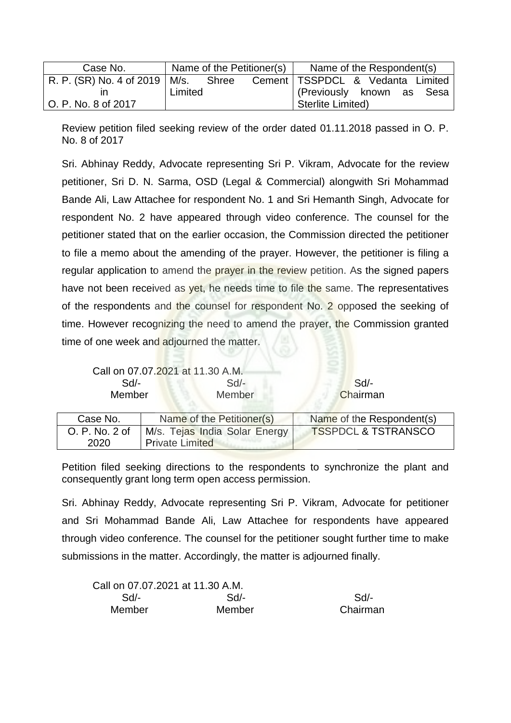| Case No.                              | Name of the Petitioner(s) | Name of the Respondent(s)          |
|---------------------------------------|---------------------------|------------------------------------|
| R. P. (SR) No. 4 of 2019   M/s. Shree |                           | Cement   TSSPDCL & Vedanta Limited |
|                                       | Limited                   | (Previously known as Sesa          |
| O. P. No. 8 of 2017                   |                           | Sterlite Limited)                  |

Review petition filed seeking review of the order dated 01.11.2018 passed in O. P. No. 8 of 2017

Sri. Abhinay Reddy, Advocate representing Sri P. Vikram, Advocate for the review petitioner, Sri D. N. Sarma, OSD (Legal & Commercial) alongwith Sri Mohammad Bande Ali, Law Attachee for respondent No. 1 and Sri Hemanth Singh, Advocate for respondent No. 2 have appeared through video conference. The counsel for the petitioner stated that on the earlier occasion, the Commission directed the petitioner to file a memo about the amending of the prayer. However, the petitioner is filing a regular application to amend the prayer in the review petition. As the signed papers have not been received as yet, he needs time to file the same. The representatives of the respondents and the counsel for respondent No. 2 opposed the seeking of time. However recognizing the need to amend the prayer, the Commission granted time of one week and adjourned the matter.

| Call on 07.07.2021 at 11.30 A.M. |        |          |
|----------------------------------|--------|----------|
| Sd/-                             | Sd/-   | Sd       |
| Member                           | Member | Chairman |

| Case No.       | Name of the Petitioner(s)     | Name of the Respondent(s)      |
|----------------|-------------------------------|--------------------------------|
| O. P. No. 2 of | M/s. Tejas India Solar Energy | <b>TSSPDCL &amp; TSTRANSCO</b> |
| 2020           | <b>Private Limited</b>        |                                |

Petition filed seeking directions to the respondents to synchronize the plant and consequently grant long term open access permission.

Sri. Abhinay Reddy, Advocate representing Sri P. Vikram, Advocate for petitioner and Sri Mohammad Bande Ali, Law Attachee for respondents have appeared through video conference. The counsel for the petitioner sought further time to make submissions in the matter. Accordingly, the matter is adjourned finally.

| Call on 07.07.2021 at 11.30 A.M. |        |          |
|----------------------------------|--------|----------|
| $Sd$ -                           | Sd     | $Sd/$ -  |
| Member                           | Member | Chairman |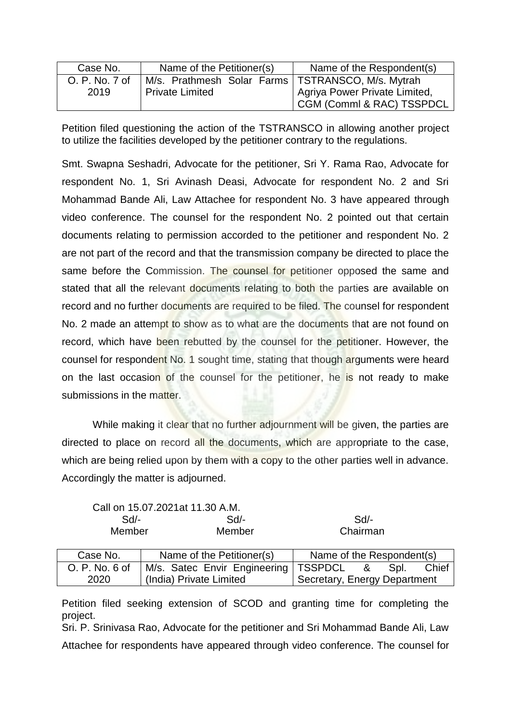| Case No.       | Name of the Petitioner(s)                           | Name of the Respondent(s)     |
|----------------|-----------------------------------------------------|-------------------------------|
| O. P. No. 7 of | M/s. Prathmesh Solar Farms   TSTRANSCO, M/s. Mytrah |                               |
| 2019           | <b>Private Limited</b>                              | Agriya Power Private Limited, |
|                |                                                     | CGM (Comml & RAC) TSSPDCL     |

Petition filed questioning the action of the TSTRANSCO in allowing another project to utilize the facilities developed by the petitioner contrary to the regulations.

Smt. Swapna Seshadri, Advocate for the petitioner, Sri Y. Rama Rao, Advocate for respondent No. 1, Sri Avinash Deasi, Advocate for respondent No. 2 and Sri Mohammad Bande Ali, Law Attachee for respondent No. 3 have appeared through video conference. The counsel for the respondent No. 2 pointed out that certain documents relating to permission accorded to the petitioner and respondent No. 2 are not part of the record and that the transmission company be directed to place the same before the Commission. The counsel for petitioner opposed the same and stated that all the relevant documents relating to both the parties are available on record and no further documents are required to be filed. The counsel for respondent No. 2 made an attempt to show as to what are the documents that are not found on record, which have been rebutted by the counsel for the petitioner. However, the counsel for respondent No. 1 sought time, stating that though arguments were heard on the last occasion of the counsel for the petitioner, he is not ready to make submissions in the matter.

While making it clear that no further adjournment will be given, the parties are directed to place on record all the documents, which are appropriate to the case, which are being relied upon by them with a copy to the other parties well in advance. Accordingly the matter is adjourned.

| Call on 15.07.2021at 11.30 A.M. |        |          |
|---------------------------------|--------|----------|
| $Sd$ -                          | $Sd/-$ | Sd       |
| Member                          | Member | Chairman |

| Case No.       | Name of the Petitioner(s)              | Name of the Respondent(s)      |
|----------------|----------------------------------------|--------------------------------|
| O. P. No. 6 of | M/s. Satec Envir Engineering   TSSPDCL | Chief<br>Spl.<br><u>ା&amp;</u> |
| 2020           | (India) Private Limited                | Secretary, Energy Department   |

Petition filed seeking extension of SCOD and granting time for completing the project.

Sri. P. Srinivasa Rao, Advocate for the petitioner and Sri Mohammad Bande Ali, Law Attachee for respondents have appeared through video conference. The counsel for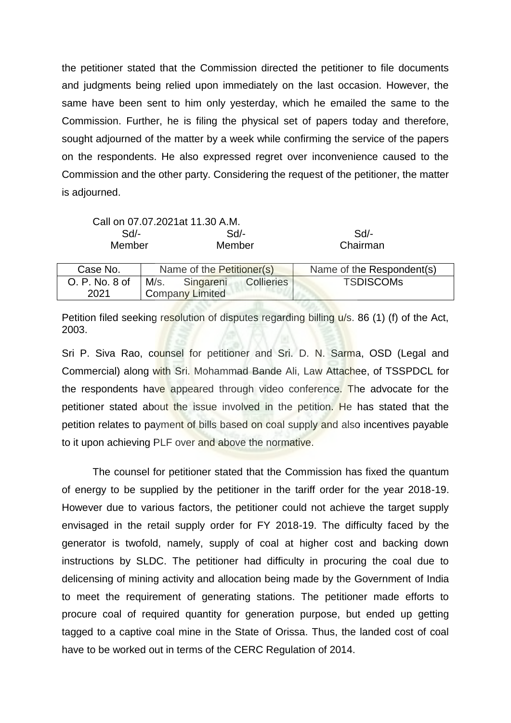the petitioner stated that the Commission directed the petitioner to file documents and judgments being relied upon immediately on the last occasion. However, the same have been sent to him only yesterday, which he emailed the same to the Commission. Further, he is filing the physical set of papers today and therefore, sought adjourned of the matter by a week while confirming the service of the papers on the respondents. He also expressed regret over inconvenience caused to the Commission and the other party. Considering the request of the petitioner, the matter is adjourned.

|                  | Call on 07.07.2021at 11.30 A.M.     |                           |
|------------------|-------------------------------------|---------------------------|
| $Sd$ -           | $Sd$ -                              | Sd                        |
| Member<br>Member |                                     | Chairman                  |
|                  |                                     |                           |
| Case No.         | Name of the Petitioner(s)           | Name of the Respondent(s) |
| O. P. No. 8 of   | <b>Collieries</b><br>M/s. Singareni | <b>TSDISCOMS</b>          |
| 2021             | <b>Company Limited</b>              |                           |

Petition filed seeking resolution of disputes regarding billing  $u/s$ . 86 (1) (f) of the Act, 2003.

Sri P. Siva Rao, counsel for petitioner and Sri. D. N. Sarma, OSD (Legal and Commercial) along with Sri. Mohammad Bande Ali, Law Attachee, of TSSPDCL for the respondents have appeared through video conference. The advocate for the petitioner stated about the issue involved in the petition. He has stated that the petition relates to payment of bills based on coal supply and also incentives payable to it upon achieving PLF over and above the normative.

The counsel for petitioner stated that the Commission has fixed the quantum of energy to be supplied by the petitioner in the tariff order for the year 2018-19. However due to various factors, the petitioner could not achieve the target supply envisaged in the retail supply order for FY 2018-19. The difficulty faced by the generator is twofold, namely, supply of coal at higher cost and backing down instructions by SLDC. The petitioner had difficulty in procuring the coal due to delicensing of mining activity and allocation being made by the Government of India to meet the requirement of generating stations. The petitioner made efforts to procure coal of required quantity for generation purpose, but ended up getting tagged to a captive coal mine in the State of Orissa. Thus, the landed cost of coal have to be worked out in terms of the CERC Regulation of 2014.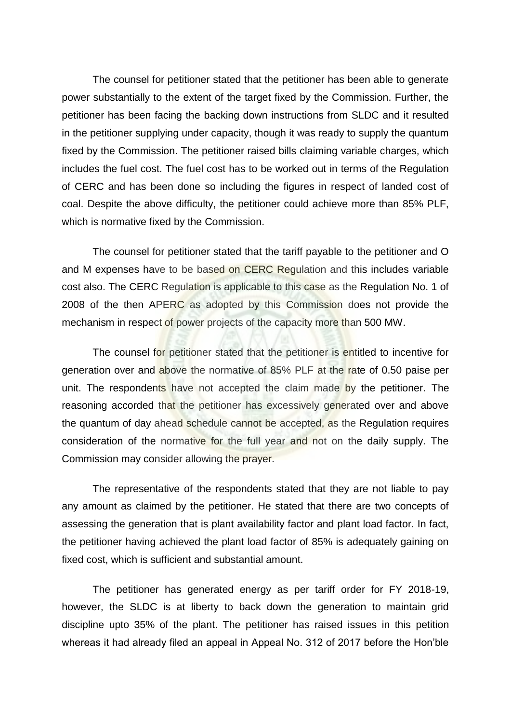The counsel for petitioner stated that the petitioner has been able to generate power substantially to the extent of the target fixed by the Commission. Further, the petitioner has been facing the backing down instructions from SLDC and it resulted in the petitioner supplying under capacity, though it was ready to supply the quantum fixed by the Commission. The petitioner raised bills claiming variable charges, which includes the fuel cost. The fuel cost has to be worked out in terms of the Regulation of CERC and has been done so including the figures in respect of landed cost of coal. Despite the above difficulty, the petitioner could achieve more than 85% PLF, which is normative fixed by the Commission.

The counsel for petitioner stated that the tariff payable to the petitioner and O and M expenses have to be based on CERC Regulation and this includes variable cost also. The CERC Regulation is applicable to this case as the Regulation No. 1 of 2008 of the then APERC as adopted by this Commission does not provide the mechanism in respect of power projects of the capacity more than 500 MW.

The counsel for petitioner stated that the petitioner is entitled to incentive for generation over and above the normative of 85% PLF at the rate of 0.50 paise per unit. The respondents have not accepted the claim made by the petitioner. The reasoning accorded that the petitioner has excessively generated over and above the quantum of day ahead schedule cannot be accepted, as the Regulation requires consideration of the normative for the full year and not on the daily supply. The Commission may consider allowing the prayer.

The representative of the respondents stated that they are not liable to pay any amount as claimed by the petitioner. He stated that there are two concepts of assessing the generation that is plant availability factor and plant load factor. In fact, the petitioner having achieved the plant load factor of 85% is adequately gaining on fixed cost, which is sufficient and substantial amount.

The petitioner has generated energy as per tariff order for FY 2018-19, however, the SLDC is at liberty to back down the generation to maintain grid discipline upto 35% of the plant. The petitioner has raised issues in this petition whereas it had already filed an appeal in Appeal No. 312 of 2017 before the Hon'ble